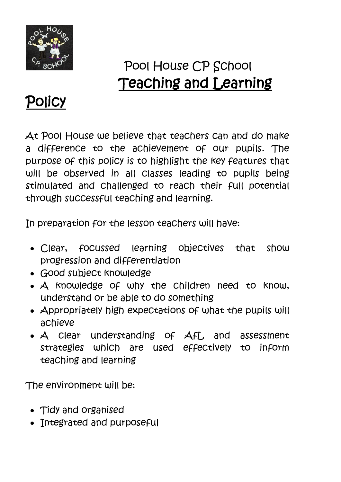

## Pool House CP School Teaching and Learning



At Pool House we believe that teachers can and do make a difference to the achievement of our pupils. The purpose of this policy is to highlight the key features that will be observed in all classes leading to pupils being stimulated and challenged to reach their full potential through successful teaching and learning.

In preparation for the lesson teachers will have:

- Clear, focussed learning objectives that show progression and differentiation
- Good subject knowledge
- $\mathcal A$  knowledge of why the children need to know, understand or be able to do something
- Appropriately high expectations of what the pupils will achieve
- A clear understanding of Afl, and assessment strategies which are used effectively to inform teaching and learning

The environment will be:

- Tidy and organised
- Integrated and purposeful